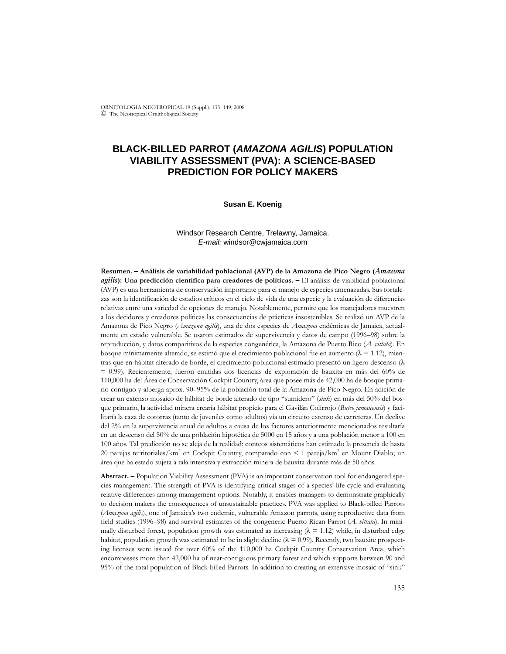ORNITOLOGIA NEOTROPICAL 19 (Suppl.): 135–149, 2008 © The Neotropical Ornithological Society

# **BLACK-BILLED PARROT (***AMAZONA AGILIS***) POPULATION VIABILITY ASSESSMENT (PVA): A SCIENCE-BASED PREDICTION FOR POLICY MAKERS**

## **Susan E. Koenig**

# Windsor Research Centre, Trelawny, Jamaica. *E-mail:* windsor@cwjamaica.com

**Resumen. – Análisis de variabilidad poblacional (AVP) de la Amazona de Pico Negro (***Amazona agilis***): Una predicción científica para creadores de políticas. –** El análisis de viabilidad poblacional (AVP) es una herramienta de conservación importante para el manejo de especies amenazadas. Sus fortalezas son la identificación de estadios críticos en el ciclo de vida de una especie y la evaluación de diferencias relativas entre una variedad de opciones de manejo. Notablemente, permite que los manejadores muestren a los decidores y creadores políticas las consecuencias de prácticas insostenibles. Se realizó un AVP de la Amazona de Pico Negro (*Amazona agilis*), una de dos especies de *Amazona* endémicas de Jamaica, actualmente en estado vulnerable. Se usaron estimados de supervivencia y datos de campo (1996–98) sobre la reproducción, y datos comparitivos de la especies congenérica, la Amazona de Puerto Rico (*A. vittata*). En bosque mínimamente alterado, se estimó que el crecimiento poblacional fue en aumento ( $\lambda = 1.12$ ), mientras que en hábitat alterado de borde, el crecimiento poblacional estimado presentó un ligero descenso (λ = 0.99). Recientemente, fueron emitidas dos licencias de exploración de bauxita en más del 60% de 110,000 ha del Área de Conservación Cockpit Country, área que posee más de 42,000 ha de bosque primario contiguo y alberga aprox. 90–95% de la población total de la Amazona de Pico Negro. En adición de crear un extenso mosaico de hábitat de borde alterado de tipo "sumidero" (*sink*) en más del 50% del bosque primario, la actividad minera crearía hábitat propicio para el Gavilán Colirrojo (*Buteo jamaicensis*) y facilitaría la caza de cotorras (tanto de juveniles como adultos) vía un circuito extenso de carreteras. Un declive del 2% en la supervivencia anual de adultos a causa de los factores anteriormente mencionados resultaría en un descenso del 50% de una población hipotética de 5000 en 15 años y a una población menor a 100 en 100 años. Tal predicción no se aleja de la realidad: conteos sistemáticos han estimado la presencia de hasta 20 parejas territoriales/km<sup>2</sup> en Cockpit Country, comparado con < 1 pareja/km<sup>2</sup> en Mount Diablo; un área que ha estado sujeta a tala intensiva y extracción minera de bauxita durante más de 50 años.

**Abstract. –** Population Viability Assessment (PVA) is an important conservation tool for endangered species management. The strength of PVA is identifying critical stages of a species' life cycle and evaluating relative differences among management options. Notably, it enables managers to demonstrate graphically to decision makers the consequences of unsustainable practices. PVA was applied to Black-billed Parrots (*Amazona agilis*), one of Jamaica's two endemic, vulnerable Amazon parrots, using reproductive data from field studies (1996–98) and survival estimates of the congeneric Puerto Rican Parrot (*A. vittata*). In minimally disturbed forest, population growth was estimated as increasing  $(\lambda = 1.12)$  while, in disturbed edge habitat, population growth was estimated to be in slight decline  $(\lambda = 0.99)$ . Recently, two bauxite prospecting licenses were issued for over 60% of the 110,000 ha Cockpit Country Conservation Area, which encompasses more than 42,000 ha of near-contiguous primary forest and which supports between 90 and 95% of the total population of Black-billed Parrots. In addition to creating an extensive mosaic of "sink"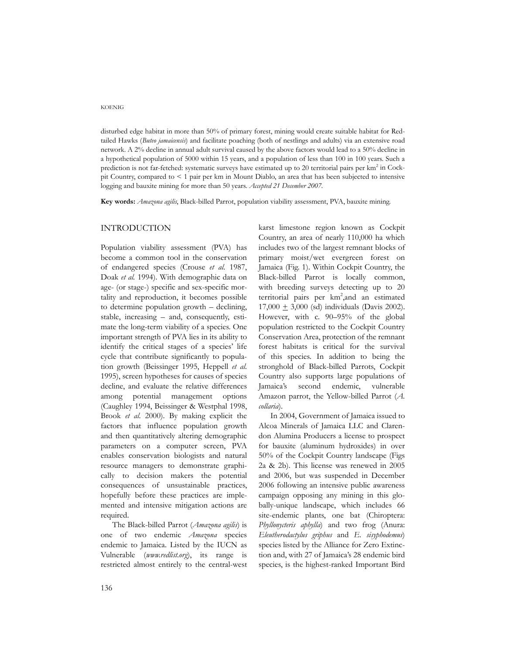disturbed edge habitat in more than 50% of primary forest, mining would create suitable habitat for Redtailed Hawks (*Buteo jamaicensis*) and facilitate poaching (both of nestlings and adults) via an extensive road network. A 2% decline in annual adult survival caused by the above factors would lead to a 50% decline in a hypothetical population of 5000 within 15 years, and a population of less than 100 in 100 years. Such a prediction is not far-fetched: systematic surveys have estimated up to 20 territorial pairs per km<sup>2</sup> in Cockpit Country, compared to < 1 pair per km in Mount Diablo, an area that has been subjected to intensive logging and bauxite mining for more than 50 years. *Accepted 21 December 2007.*

**Key words:** *Amazona agilis*, Black-billed Parrot, population viability assessment, PVA, bauxite mining.

## INTRODUCTION

Population viability assessment (PVA) has become a common tool in the conservation of endangered species (Crouse *et al.* 1987, Doak *et al.* 1994). With demographic data on age- (or stage-) specific and sex-specific mortality and reproduction, it becomes possible to determine population growth – declining, stable, increasing – and, consequently, estimate the long-term viability of a species. One important strength of PVA lies in its ability to identify the critical stages of a species' life cycle that contribute significantly to population growth (Beissinger 1995, Heppell *et al*. 1995), screen hypotheses for causes of species decline, and evaluate the relative differences among potential management options (Caughley 1994, Beissinger & Westphal 1998, Brook *et al.* 2000). By making explicit the factors that influence population growth and then quantitatively altering demographic parameters on a computer screen, PVA enables conservation biologists and natural resource managers to demonstrate graphically to decision makers the potential consequences of unsustainable practices, hopefully before these practices are implemented and intensive mitigation actions are required.

The Black-billed Parrot (*Amazona agilis*) is one of two endemic *Amazona* species endemic to Jamaica. Listed by the IUCN as Vulnerable (*www.redlist.org*), its range is restricted almost entirely to the central-west

karst limestone region known as Cockpit Country, an area of nearly 110,000 ha which includes two of the largest remnant blocks of primary moist/wet evergreen forest on Jamaica (Fig. 1). Within Cockpit Country, the Black-billed Parrot is locally common, with breeding surveys detecting up to 20 territorial pairs per km<sup>2</sup>, and an estimated  $17,000 \pm 3,000$  (sd) individuals (Davis 2002). However, with c. 90–95% of the global population restricted to the Cockpit Country Conservation Area, protection of the remnant forest habitats is critical for the survival of this species. In addition to being the stronghold of Black-billed Parrots, Cockpit Country also supports large populations of Jamaica's second endemic, vulnerable Amazon parrot, the Yellow-billed Parrot (*A. collaria*).

In 2004, Government of Jamaica issued to Alcoa Minerals of Jamaica LLC and Clarendon Alumina Producers a license to prospect for bauxite (aluminum hydroxides) in over 50% of the Cockpit Country landscape (Figs 2a & 2b). This license was renewed in 2005 and 2006, but was suspended in December 2006 following an intensive public awareness campaign opposing any mining in this globally-unique landscape, which includes 66 site-endemic plants, one bat (Chiroptera: *Phyllonycteris aphylla*) and two frog (Anura: *Eleutherodactylus griphus* and *E. sisyphodemus*) species listed by the Alliance for Zero Extinction and, with 27 of Jamaica's 28 endemic bird species, is the highest-ranked Important Bird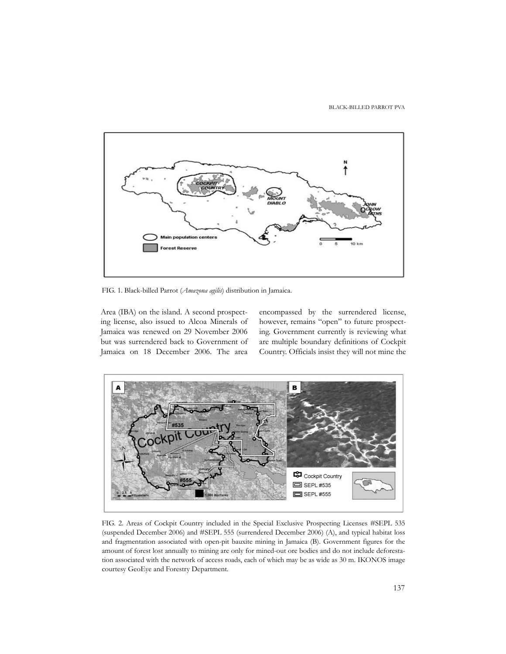#### BLACK-BILLED PARROT PVA



FIG. 1. Black-billed Parrot (*Amazona agilis*) distribution in Jamaica.

Area (IBA) on the island. A second prospecting license, also issued to Alcoa Minerals of Jamaica was renewed on 29 November 2006 but was surrendered back to Government of Jamaica on 18 December 2006. The area encompassed by the surrendered license, however, remains "open" to future prospecting. Government currently is reviewing what are multiple boundary definitions of Cockpit Country. Officials insist they will not mine the



FIG. 2. Areas of Cockpit Country included in the Special Exclusive Prospecting Licenses #SEPL 535 (suspended December 2006) and #SEPL 555 (surrendered December 2006) (A), and typical habitat loss and fragmentation associated with open-pit bauxite mining in Jamaica (B). Government figures for the amount of forest lost annually to mining are only for mined-out ore bodies and do not include deforestation associated with the network of access roads, each of which may be as wide as 30 m. IKONOS image courtesy GeoEye and Forestry Department.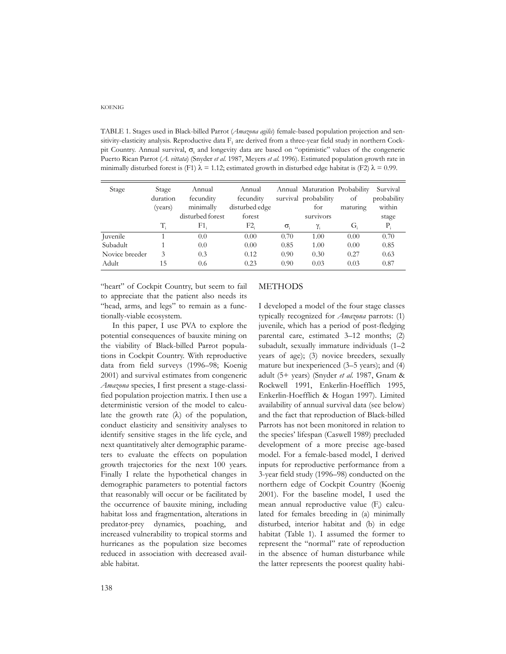TABLE 1. Stages used in Black-billed Parrot (*Amazona agilis*) female-based population projection and sensitivity-elasticity analysis. Reproductive data  $F_1$  are derived from a three-year field study in northern Cockpit Country. Annual survival, σ<sub>ι</sub> and longevity data are based on "optimistic" values of the congeneric Puerto Rican Parrot (*A. vittata*) (Snyder *et al.* 1987, Meyers *et al.* 1996). Estimated population growth rate in minimally disturbed forest is (F1)  $\lambda = 1.12$ ; estimated growth in disturbed edge habitat is (F2)  $\lambda = 0.99$ .

| Stage          | Stage       | Annual           | Annual         |              | Annual Maturation Probability |          | Survival    |
|----------------|-------------|------------------|----------------|--------------|-------------------------------|----------|-------------|
|                | duration    | fecundity        | fecundity      |              | survival probability          | of       | probability |
|                | (years)     | minimally        | disturbed edge |              | for                           | maturing | within      |
|                |             | disturbed forest | forest         |              | survivors                     |          | stage       |
|                | $T_{\rm s}$ | F1.              | F2             | $\sigma_{i}$ | Y:                            | G.       | $P_i$       |
| Juvenile       |             | 0.0              | 0.00           | 0.70         | 1.00                          | 0.00     | 0.70        |
| Subadult       |             | 0.0              | 0.00           | 0.85         | 1.00                          | 0.00     | 0.85        |
| Novice breeder | 3           | 0.3              | 0.12           | 0.90         | 0.30                          | 0.27     | 0.63        |
| Adult          | 15          | 0.6              | 0.23           | 0.90         | 0.03                          | 0.03     | 0.87        |

"heart" of Cockpit Country, but seem to fail to appreciate that the patient also needs its "head, arms, and legs" to remain as a functionally-viable ecosystem.

In this paper, I use PVA to explore the potential consequences of bauxite mining on the viability of Black-billed Parrot populations in Cockpit Country. With reproductive data from field surveys (1996–98; Koenig 2001) and survival estimates from congeneric *Amazona* species, I first present a stage-classified population projection matrix. I then use a deterministic version of the model to calculate the growth rate  $(\lambda)$  of the population, conduct elasticity and sensitivity analyses to identify sensitive stages in the life cycle, and next quantitatively alter demographic parameters to evaluate the effects on population growth trajectories for the next 100 years. Finally I relate the hypothetical changes in demographic parameters to potential factors that reasonably will occur or be facilitated by the occurrence of bauxite mining, including habitat loss and fragmentation, alterations in predator-prey dynamics, poaching, and increased vulnerability to tropical storms and hurricanes as the population size becomes reduced in association with decreased available habitat.

## **METHODS**

I developed a model of the four stage classes typically recognized for *Amazona* parrots: (1) juvenile, which has a period of post-fledging parental care, estimated 3–12 months; (2) subadult, sexually immature individuals (1–2 years of age); (3) novice breeders, sexually mature but inexperienced (3–5 years); and (4) adult (5+ years) (Snyder *et al.* 1987, Gnam & Rockwell 1991, Enkerlin-Hoefflich 1995, Enkerlin-Hoefflich & Hogan 1997). Limited availability of annual survival data (see below) and the fact that reproduction of Black-billed Parrots has not been monitored in relation to the species' lifespan (Caswell 1989) precluded development of a more precise age-based model. For a female-based model, I derived inputs for reproductive performance from a 3-year field study (1996–98) conducted on the northern edge of Cockpit Country (Koenig 2001). For the baseline model, I used the mean annual reproductive value (F<sub>i</sub>) calculated for females breeding in (a) minimally disturbed, interior habitat and (b) in edge habitat (Table 1). I assumed the former to represent the "normal" rate of reproduction in the absence of human disturbance while the latter represents the poorest quality habi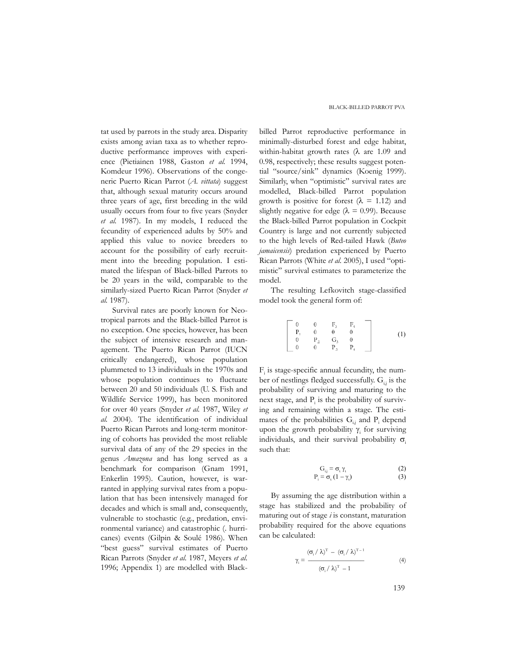tat used by parrots in the study area. Disparity exists among avian taxa as to whether reproductive performance improves with experience (Pietiainen 1988, Gaston *et al.* 1994, Komdeur 1996). Observations of the congeneric Puerto Rican Parrot (*A. vittata*) suggest that, although sexual maturity occurs around three years of age, first breeding in the wild usually occurs from four to five years (Snyder *et al.* 1987). In my models, I reduced the fecundity of experienced adults by 50% and applied this value to novice breeders to account for the possibility of early recruitment into the breeding population. I estimated the lifespan of Black-billed Parrots to be 20 years in the wild, comparable to the similarly-sized Puerto Rican Parrot (Snyder *et al.* 1987).

Survival rates are poorly known for Neotropical parrots and the Black-billed Parrot is no exception. One species, however, has been the subject of intensive research and management. The Puerto Rican Parrot (IUCN critically endangered), whose population plummeted to 13 individuals in the 1970s and whose population continues to fluctuate between 20 and 50 individuals (U. S. Fish and Wildlife Service 1999), has been monitored for over 40 years (Snyder *et al.* 1987, Wiley *et al.* 2004)*.* The identification of individual Puerto Rican Parrots and long-term monitoring of cohorts has provided the most reliable survival data of any of the 29 species in the genus *Amazona* and has long served as a benchmark for comparison (Gnam 1991, Enkerlin 1995). Caution, however, is warranted in applying survival rates from a population that has been intensively managed for decades and which is small and, consequently, vulnerable to stochastic (e.g., predation, environmental variance) and catastrophic (. hurricanes) events (Gilpin & Soulé 1986). When "best guess" survival estimates of Puerto Rican Parrots (Snyder *et al.* 1987, Meyers *et al.* 1996; Appendix 1) are modelled with Black-

billed Parrot reproductive performance in minimally-disturbed forest and edge habitat, within-habitat growth rates (λ are 1.09 and 0.98, respectively; these results suggest potential "source/sink" dynamics (Koenig 1999). Similarly, when "optimistic" survival rates are modelled, Black-billed Parrot population growth is positive for forest ( $\lambda = 1.12$ ) and slightly negative for edge ( $\lambda = 0.99$ ). Because the Black-billed Parrot population in Cockpit Country is large and not currently subjected to the high levels of Red-tailed Hawk (*Buteo jamaicensis*) predation experienced by Puerto Rican Parrots (White *et al.* 2005), I used "optimistic" survival estimates to parameterize the model.

The resulting Lefkovitch stage-classified model took the general form of:

$$
\begin{bmatrix} 0 & 0 & \Gamma_3 & \Gamma_4 \\ \mathbf{P}_1 & 0 & 0 & 0 \\ 0 & \mathbf{P}_2 & \mathbf{G}_3 & 0 \\ 0 & 0 & \mathbf{P}_3 & \mathbf{P}_4 \end{bmatrix} (1)
$$

Fi is stage-specific annual fecundity, the number of nestlings fledged successfully.  $G_{i,j}$  is the probability of surviving and maturing to the next stage, and  $P_i$  is the probability of surviving and remaining within a stage. The estimates of the probabilities  $G_{i,j}$  and  $P_i$  depend upon the growth probability  $\gamma$ <sub>i</sub> for surviving individuals, and their survival probability  $\sigma_i$ such that:

$$
G_{i,j} = \sigma_{i} \gamma_{i}
$$
\n
$$
P_{i} = \sigma_{i} (1 - \gamma_{i})
$$
\n(2)\n(3)

By assuming the age distribution within a stage has stabilized and the probability of maturing out of stage *i* is constant, maturation probability required for the above equations can be calculated:

$$
\gamma_i = \frac{(\sigma_i / \lambda)^{T} - (\sigma_i / \lambda)^{T-1}}{(\sigma_i / \lambda)^{T} - 1}
$$
(4)

139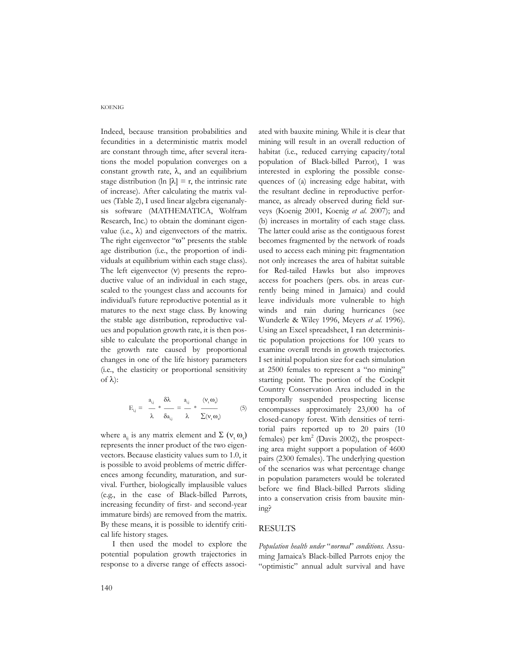Indeed, because transition probabilities and fecundities in a deterministic matrix model are constant through time, after several iterations the model population converges on a constant growth rate,  $λ$ , and an equilibrium stage distribution (ln  $[\lambda] = r$ , the intrinsic rate of increase). After calculating the matrix values (Table 2), I used linear algebra eigenanalysis software (MATHEMATICA, Wolfram Research, Inc.) to obtain the dominant eigenvalue (i.e., λ) and eigenvectors of the matrix. The right eigenvector "ω" presents the stable age distribution (i.e., the proportion of individuals at equilibrium within each stage class). The left eigenvector  $(v)$  presents the reproductive value of an individual in each stage, scaled to the youngest class and accounts for individual's future reproductive potential as it matures to the next stage class. By knowing the stable age distribution, reproductive values and population growth rate, it is then possible to calculate the proportional change in the growth rate caused by proportional changes in one of the life history parameters (i.e., the elasticity or proportional sensitivity of λ):

$$
E_{i,j} = \frac{a_{i,j}}{\lambda} * \frac{\delta \lambda}{\delta a_{i,j}} = \frac{a_{i,j}}{\lambda} * \frac{(v, \omega)}{\sum (v_i \omega)} \tag{5}
$$

where  $a_{ij}$  is any matrix element and  $\Sigma(\mathsf{v}_i \omega_i)$ represents the inner product of the two eigenvectors. Because elasticity values sum to 1.0, it is possible to avoid problems of metric differences among fecundity, maturation, and survival. Further, biologically implausible values (e.g., in the case of Black-billed Parrots, increasing fecundity of first- and second-year immature birds) are removed from the matrix. By these means, it is possible to identify critical life history stages.

I then used the model to explore the potential population growth trajectories in response to a diverse range of effects associated with bauxite mining. While it is clear that mining will result in an overall reduction of habitat (i.e., reduced carrying capacity/total population of Black-billed Parrot), I was interested in exploring the possible consequences of (a) increasing edge habitat, with the resultant decline in reproductive performance, as already observed during field surveys (Koenig 2001, Koenig *et al*. 2007); and (b) increases in mortality of each stage class. The latter could arise as the contiguous forest becomes fragmented by the network of roads used to access each mining pit: fragmentation not only increases the area of habitat suitable for Red-tailed Hawks but also improves access for poachers (pers. obs. in areas currently being mined in Jamaica) and could leave individuals more vulnerable to high winds and rain during hurricanes (see Wunderle & Wiley 1996, Meyers *et al.* 1996). Using an Excel spreadsheet, I ran deterministic population projections for 100 years to examine overall trends in growth trajectories. I set initial population size for each simulation at 2500 females to represent a "no mining" starting point. The portion of the Cockpit Country Conservation Area included in the temporally suspended prospecting license encompasses approximately 23,000 ha of closed-canopy forest. With densities of territorial pairs reported up to 20 pairs (10 females) per  $km^2$  (Davis 2002), the prospecting area might support a population of 4600 pairs (2300 females). The underlying question of the scenarios was what percentage change in population parameters would be tolerated before we find Black-billed Parrots sliding into a conservation crisis from bauxite mining?

# RESULTS

*Population health under* "*normal*" *conditions.* Assuming Jamaica's Black-billed Parrots enjoy the "optimistic" annual adult survival and have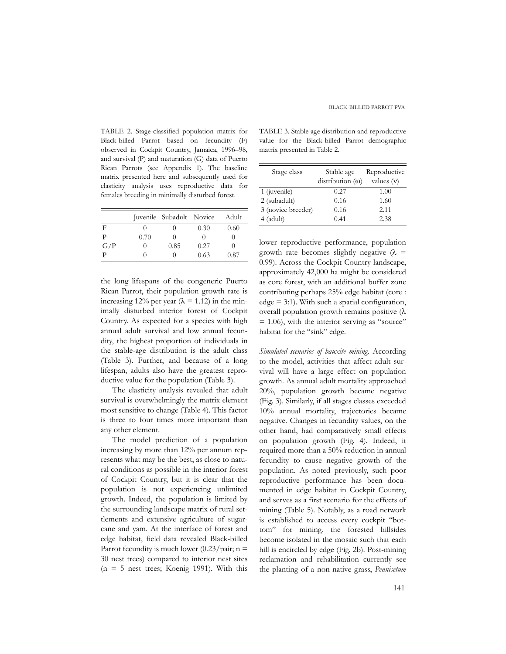TABLE 2. Stage-classified population matrix for Black-billed Parrot based on fecundity (F) observed in Cockpit Country, Jamaica, 1996–98, and survival (P) and maturation (G) data of Puerto Rican Parrots (see Appendix 1). The baseline matrix presented here and subsequently used for elasticity analysis uses reproductive data for females breeding in minimally disturbed forest.

|     |                  | Juvenile Subadult Novice |          | Adult |
|-----|------------------|--------------------------|----------|-------|
| F   | $\left( \right)$ |                          | 0.30     | 0.60  |
| Р   | 0.70             | $\left( \right)$         | $\theta$ |       |
| G/P |                  | 0.85                     | 0.27     |       |
| р   |                  |                          | 0.63     | 0.87  |

the long lifespans of the congeneric Puerto Rican Parrot, their population growth rate is increasing 12% per year ( $\lambda$  = 1.12) in the minimally disturbed interior forest of Cockpit Country. As expected for a species with high annual adult survival and low annual fecundity, the highest proportion of individuals in the stable-age distribution is the adult class (Table 3). Further, and because of a long lifespan, adults also have the greatest reproductive value for the population (Table 3).

The elasticity analysis revealed that adult survival is overwhelmingly the matrix element most sensitive to change (Table 4). This factor is three to four times more important than any other element.

The model prediction of a population increasing by more than 12% per annum represents what may be the best, as close to natural conditions as possible in the interior forest of Cockpit Country, but it is clear that the population is not experiencing unlimited growth. Indeed, the population is limited by the surrounding landscape matrix of rural settlements and extensive agriculture of sugarcane and yam. At the interface of forest and edge habitat, field data revealed Black-billed Parrot fecundity is much lower  $(0.23/\text{pair}; n =$ 30 nest trees) compared to interior nest sites  $(n = 5$  nest trees; Koenig 1991). With this

TABLE 3. Stable age distribution and reproductive value for the Black-billed Parrot demographic matrix presented in Table 2.

| Stage class        | Stable age<br>$distribution(\omega)$ | Reproductive<br>values $(v)$ |
|--------------------|--------------------------------------|------------------------------|
| 1 (juvenile)       | 0.27                                 | 1.00                         |
| 2 (subadult)       | 0.16                                 | 1.60                         |
| 3 (novice breeder) | 0.16                                 | 2.11                         |
| $4$ (adult)        | 0.41                                 | 2.38                         |

lower reproductive performance, population growth rate becomes slightly negative  $(\lambda =$ 0.99). Across the Cockpit Country landscape, approximately 42,000 ha might be considered as core forest, with an additional buffer zone contributing perhaps 25% edge habitat (core :  $edge = 3:1$ ). With such a spatial configuration, overall population growth remains positive (λ  $= 1.06$ ), with the interior serving as "source" habitat for the "sink" edge.

*Simulated scenarios of bauxite mining.* According to the model, activities that affect adult survival will have a large effect on population growth. As annual adult mortality approached 20%, population growth became negative (Fig. 3). Similarly, if all stages classes exceeded 10% annual mortality, trajectories became negative. Changes in fecundity values, on the other hand, had comparatively small effects on population growth (Fig. 4). Indeed, it required more than a 50% reduction in annual fecundity to cause negative growth of the population. As noted previously, such poor reproductive performance has been documented in edge habitat in Cockpit Country, and serves as a first scenario for the effects of mining (Table 5). Notably, as a road network is established to access every cockpit "bottom" for mining, the forested hillsides become isolated in the mosaic such that each hill is encircled by edge (Fig. 2b). Post-mining reclamation and rehabilitation currently see the planting of a non-native grass, *Pennisetum*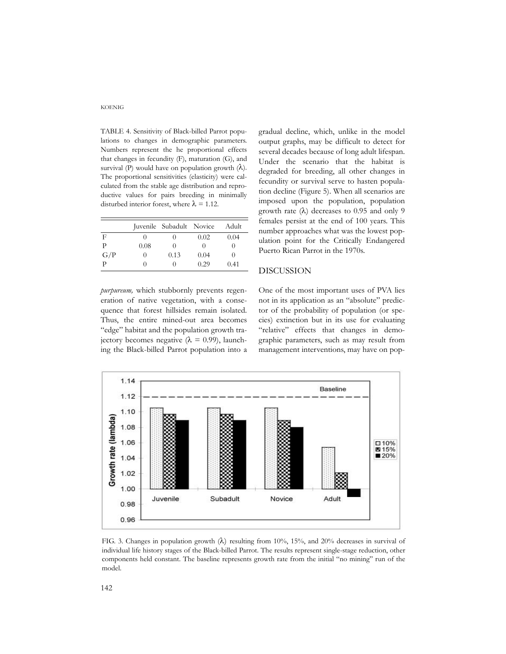TABLE 4. Sensitivity of Black-billed Parrot populations to changes in demographic parameters. Numbers represent the he proportional effects that changes in fecundity (F), maturation (G), and survival (P) would have on population growth  $(\lambda)$ . The proportional sensitivities (elasticity) were calculated from the stable age distribution and reproductive values for pairs breeding in minimally disturbed interior forest, where  $\lambda = 1.12$ .

|     |      | Juvenile Subadult Novice |      | Adult            |
|-----|------|--------------------------|------|------------------|
| F   |      | $\left( \right)$         | 0.02 | 0.04             |
| р   | 0.08 | $\theta$                 |      | $^{(1)}$         |
| G/P | 0    | 0.13                     | 0.04 | $\left( \right)$ |
| р   |      | $\left( \right)$         | 0.29 | 0.41             |

*purpureum,* which stubbornly prevents regeneration of native vegetation, with a consequence that forest hillsides remain isolated. Thus, the entire mined-out area becomes "edge" habitat and the population growth trajectory becomes negative ( $\lambda = 0.99$ ), launching the Black-billed Parrot population into a

gradual decline, which, unlike in the model output graphs, may be difficult to detect for several decades because of long adult lifespan. Under the scenario that the habitat is degraded for breeding, all other changes in fecundity or survival serve to hasten population decline (Figure 5). When all scenarios are imposed upon the population, population growth rate  $(λ)$  decreases to 0.95 and only 9 females persist at the end of 100 years. This number approaches what was the lowest population point for the Critically Endangered Puerto Rican Parrot in the 1970s.

# DISCUSSION

One of the most important uses of PVA lies not in its application as an "absolute" predictor of the probability of population (or species) extinction but in its use for evaluating "relative" effects that changes in demographic parameters, such as may result from management interventions, may have on pop-



FIG. 3. Changes in population growth  $(\lambda)$  resulting from 10%, 15%, and 20% decreases in survival of individual life history stages of the Black-billed Parrot. The results represent single-stage reduction, other components held constant. The baseline represents growth rate from the initial "no mining" run of the model.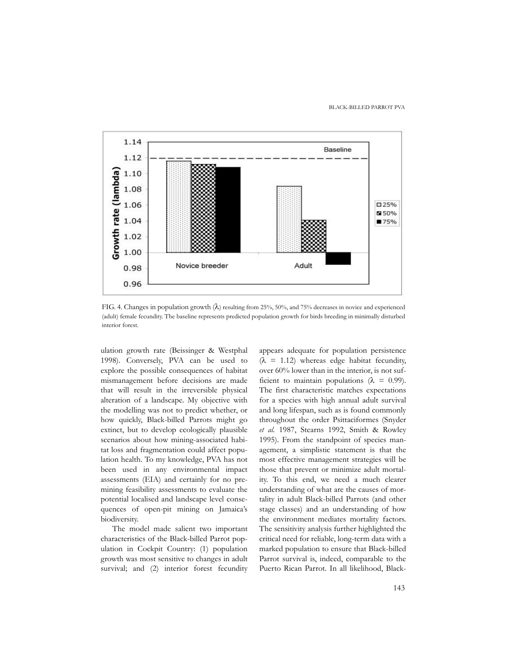#### BLACK-BILLED PARROT PVA



FIG. 4. Changes in population growth (λ) resulting from 25%, 50%, and 75% decreases in novice and experienced (adult) female fecundity. The baseline represents predicted population growth for birds breeding in minimally disturbed interior forest.

ulation growth rate (Beissinger & Westphal 1998). Conversely, PVA can be used to explore the possible consequences of habitat mismanagement before decisions are made that will result in the irreversible physical alteration of a landscape. My objective with the modelling was not to predict whether, or how quickly, Black-billed Parrots might go extinct, but to develop ecologically plausible scenarios about how mining-associated habitat loss and fragmentation could affect population health. To my knowledge, PVA has not been used in any environmental impact assessments (EIA) and certainly for no premining feasibility assessments to evaluate the potential localised and landscape level consequences of open-pit mining on Jamaica's biodiversity.

The model made salient two important characteristics of the Black-billed Parrot population in Cockpit Country: (1) population growth was most sensitive to changes in adult survival; and (2) interior forest fecundity

appears adequate for population persistence  $(\lambda = 1.12)$  whereas edge habitat fecundity, over 60% lower than in the interior, is not sufficient to maintain populations ( $\lambda = 0.99$ ). The first characteristic matches expectations for a species with high annual adult survival and long lifespan, such as is found commonly throughout the order Psittaciformes (Snyder *et al.* 1987, Stearns 1992, Smith & Rowley 1995). From the standpoint of species management, a simplistic statement is that the most effective management strategies will be those that prevent or minimize adult mortality. To this end, we need a much clearer understanding of what are the causes of mortality in adult Black-billed Parrots (and other stage classes) and an understanding of how the environment mediates mortality factors. The sensitivity analysis further highlighted the critical need for reliable, long-term data with a marked population to ensure that Black-billed Parrot survival is, indeed, comparable to the Puerto Rican Parrot. In all likelihood, Black-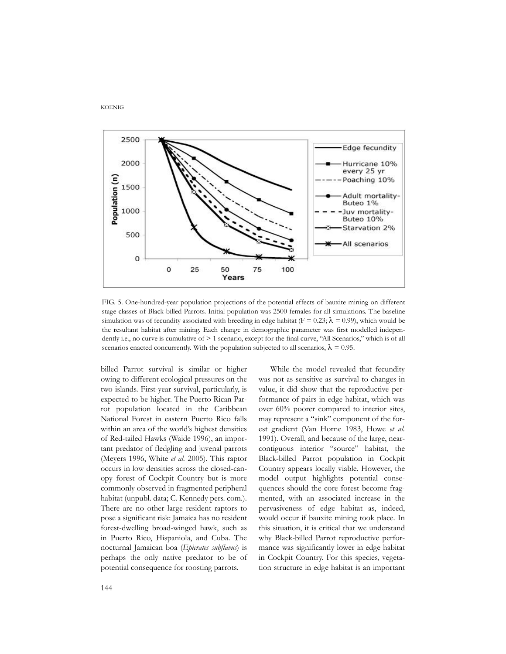

FIG. 5. One-hundred-year population projections of the potential effects of bauxite mining on different stage classes of Black-billed Parrots. Initial population was 2500 females for all simulations. The baseline simulation was of fecundity associated with breeding in edge habitat ( $F = 0.23$ ;  $\lambda = 0.99$ ), which would be the resultant habitat after mining. Each change in demographic parameter was first modelled independently i.e., no curve is cumulative of  $\geq 1$  scenario, except for the final curve, "All Scenarios," which is of all scenarios enacted concurrently. With the population subjected to all scenarios,  $\lambda = 0.95$ .

billed Parrot survival is similar or higher owing to different ecological pressures on the two islands. First-year survival, particularly, is expected to be higher. The Puerto Rican Parrot population located in the Caribbean National Forest in eastern Puerto Rico falls within an area of the world's highest densities of Red-tailed Hawks (Waide 1996), an important predator of fledgling and juvenal parrots (Meyers 1996, White *et al.* 2005). This raptor occurs in low densities across the closed-canopy forest of Cockpit Country but is more commonly observed in fragmented peripheral habitat (unpubl. data; C. Kennedy pers. com.). There are no other large resident raptors to pose a significant risk: Jamaica has no resident forest-dwelling broad-winged hawk, such as in Puerto Rico, Hispaniola, and Cuba. The nocturnal Jamaican boa (*Epicrates subflavus*) is perhaps the only native predator to be of potential consequence for roosting parrots.

While the model revealed that fecundity was not as sensitive as survival to changes in value, it did show that the reproductive performance of pairs in edge habitat, which was over 60% poorer compared to interior sites, may represent a "sink" component of the forest gradient (Van Horne 1983, Howe *et al.* 1991). Overall, and because of the large, nearcontiguous interior "source" habitat, the Black-billed Parrot population in Cockpit Country appears locally viable. However, the model output highlights potential consequences should the core forest become fragmented, with an associated increase in the pervasiveness of edge habitat as, indeed, would occur if bauxite mining took place. In this situation, it is critical that we understand why Black-billed Parrot reproductive performance was significantly lower in edge habitat in Cockpit Country. For this species, vegetation structure in edge habitat is an important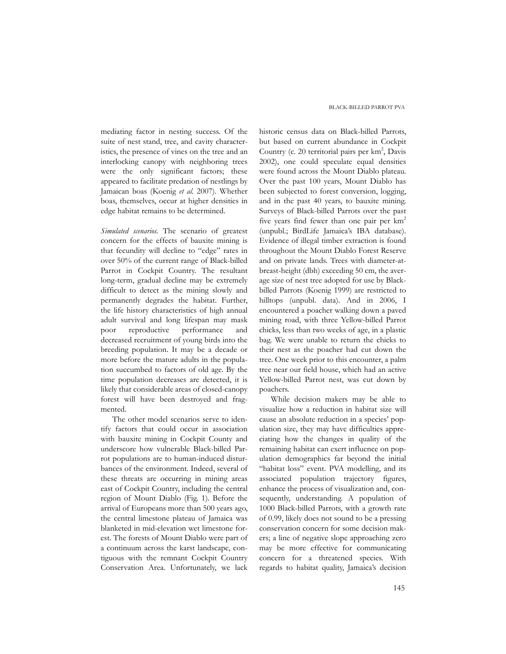mediating factor in nesting success. Of the suite of nest stand, tree, and cavity characteristics, the presence of vines on the tree and an interlocking canopy with neighboring trees were the only significant factors; these appeared to facilitate predation of nestlings by Jamaican boas (Koenig *et al.* 2007). Whether boas, themselves, occur at higher densities in edge habitat remains to be determined.

*Simulated scenarios.* The scenario of greatest concern for the effects of bauxite mining is that fecundity will decline to "edge" rates in over 50% of the current range of Black-billed Parrot in Cockpit Country. The resultant long-term, gradual decline may be extremely difficult to detect as the mining slowly and permanently degrades the habitat. Further, the life history characteristics of high annual adult survival and long lifespan may mask poor reproductive performance and decreased recruitment of young birds into the breeding population. It may be a decade or more before the mature adults in the population succumbed to factors of old age. By the time population decreases are detected, it is likely that considerable areas of closed-canopy forest will have been destroyed and fragmented.

The other model scenarios serve to identify factors that could occur in association with bauxite mining in Cockpit County and underscore how vulnerable Black-billed Parrot populations are to human-induced disturbances of the environment. Indeed, several of these threats are occurring in mining areas east of Cockpit Country, including the central region of Mount Diablo (Fig. 1). Before the arrival of Europeans more than 500 years ago, the central limestone plateau of Jamaica was blanketed in mid-elevation wet limestone forest. The forests of Mount Diablo were part of a continuum across the karst landscape, contiguous with the remnant Cockpit Country Conservation Area. Unfortunately, we lack historic census data on Black-billed Parrots, but based on current abundance in Cockpit Country (c. 20 territorial pairs per km<sup>2</sup>, Davis 2002), one could speculate equal densities were found across the Mount Diablo plateau. Over the past 100 years, Mount Diablo has been subjected to forest conversion, logging, and in the past 40 years, to bauxite mining. Surveys of Black-billed Parrots over the past five years find fewer than one pair per km<sup>2</sup> (unpubl.; BirdLife Jamaica's IBA database). Evidence of illegal timber extraction is found throughout the Mount Diablo Forest Reserve and on private lands. Trees with diameter-atbreast-height (dbh) exceeding 50 cm, the average size of nest tree adopted for use by Blackbilled Parrots (Koenig 1999) are restricted to hilltops (unpubl. data). And in 2006, I encountered a poacher walking down a paved mining road, with three Yellow-billed Parrot chicks, less than two weeks of age, in a plastic bag. We were unable to return the chicks to their nest as the poacher had cut down the tree. One week prior to this encounter, a palm tree near our field house, which had an active Yellow-billed Parrot nest, was cut down by poachers.

While decision makers may be able to visualize how a reduction in habitat size will cause an absolute reduction in a species' population size, they may have difficulties appreciating how the changes in quality of the remaining habitat can exert influence on population demographics far beyond the initial "habitat loss" event. PVA modelling, and its associated population trajectory figures, enhance the process of visualization and, consequently, understanding. A population of 1000 Black-billed Parrots, with a growth rate of 0.99, likely does not sound to be a pressing conservation concern for some decision makers; a line of negative slope approaching zero may be more effective for communicating concern for a threatened species. With regards to habitat quality, Jamaica's decision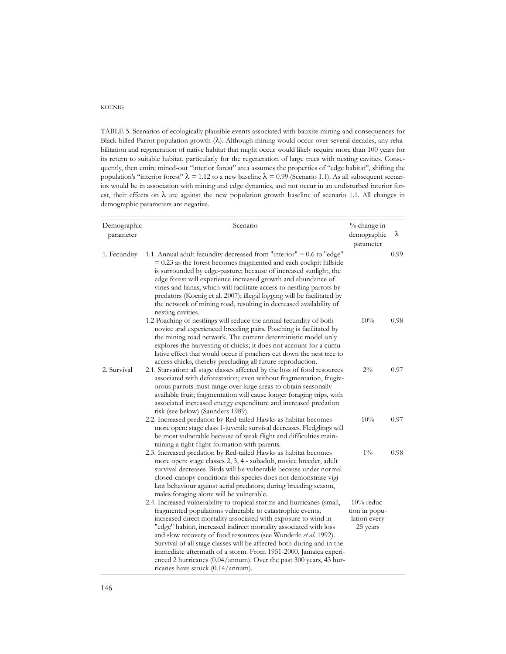TABLE 5. Scenarios of ecologically plausible events associated with bauxite mining and consequences for Black-billed Parrot population growth (λ). Although mining would occur over several decades, any rehabilitation and regeneration of native habitat that might occur would likely require more than 100 years for its return to suitable habitat, particularly for the regeneration of large trees with nesting cavities. Consequently, then entire mined-out "interior forest" area assumes the properties of "edge habitat", shifting the population's "interior forest"  $\lambda = 1.12$  to a new baseline  $\lambda = 0.99$  (Scenario 1.1). As all subsequent scenarios would be in association with mining and edge dynamics, and not occur in an undisturbed interior forest, their effects on  $\lambda$  are against the new population growth baseline of scenario 1.1. All changes in demographic parameters are negative.

| Demographic<br>parameter | Scenario                                                                                                                                                                                                                                                                                                                                                                                                                                                                                                                                                                                            | % change in<br>demographic<br>parameter                    | λ    |
|--------------------------|-----------------------------------------------------------------------------------------------------------------------------------------------------------------------------------------------------------------------------------------------------------------------------------------------------------------------------------------------------------------------------------------------------------------------------------------------------------------------------------------------------------------------------------------------------------------------------------------------------|------------------------------------------------------------|------|
| 1. Fecundity             | 1.1. Annual adult fecundity decreased from "interior" = 0.6 to "edge"<br>$= 0.23$ as the forest becomes fragmented and each cockpit hillside<br>is surrounded by edge-pasture; because of increased sunlight, the<br>edge forest will experience increased growth and abundance of<br>vines and lianas, which will facilitate access to nestling parrots by<br>predators (Koenig et al. 2007); illegal logging will be facilitated by<br>the network of mining road, resulting in decreased availability of<br>nesting cavities.                                                                    |                                                            | 0.99 |
|                          | 1.2 Poaching of nestlings will reduce the annual fecundity of both<br>novice and experienced breeding pairs. Poaching is facilitated by<br>the mining road network. The current deterministic model only<br>explores the harvesting of chicks; it does not account for a cumu-<br>lative effect that would occur if poachers cut down the nest tree to<br>access chicks, thereby precluding all future reproduction.                                                                                                                                                                                | 10%                                                        | 0.98 |
| 2. Survival              | 2.1. Starvation: all stage classes affected by the loss of food resources<br>associated with deforestation; even without fragmentation, frugiv-<br>orous parrots must range over large areas to obtain seasonally<br>available fruit; fragmentation will cause longer foraging trips, with<br>associated increased energy expenditure and increased predation<br>risk (see below) (Saunders 1989).                                                                                                                                                                                                  | $2\%$                                                      | 0.97 |
|                          | 2.2. Increased predation by Red-tailed Hawks as habitat becomes<br>more open: stage class 1-juvenile survival decreases. Fledglings will<br>be most vulnerable because of weak flight and difficulties main-<br>taining a tight flight formation with parents.                                                                                                                                                                                                                                                                                                                                      | 10%                                                        | 0.97 |
|                          | 2.3. Increased predation by Red-tailed Hawks as habitat becomes<br>more open: stage classes 2, 3, 4 - subadult, novice breeder, adult<br>survival decreases. Birds will be vulnerable because under normal<br>closed-canopy conditions this species does not demonstrate vigi-<br>lant behaviour against aerial predators; during breeding season,<br>males foraging alone will be vulnerable.                                                                                                                                                                                                      | $1\%$                                                      | 0.98 |
|                          | 2.4. Increased vulnerability to tropical storms and hurricanes (small,<br>fragmented populations vulnerable to catastrophic events;<br>increased direct mortality associated with exposure to wind in<br>"edge" habitat, increased indirect mortality associated with loss<br>and slow recovery of food resources (see Wunderle et al. 1992).<br>Survival of all stage classes will be affected both during and in the<br>immediate aftermath of a storm. From 1951-2000, Jamaica experi-<br>enced 2 hurricanes (0.04/annum). Over the past 300 years, 43 hur-<br>ricanes have struck (0.14/annum). | $10\%$ reduc-<br>tion in popu-<br>lation every<br>25 years |      |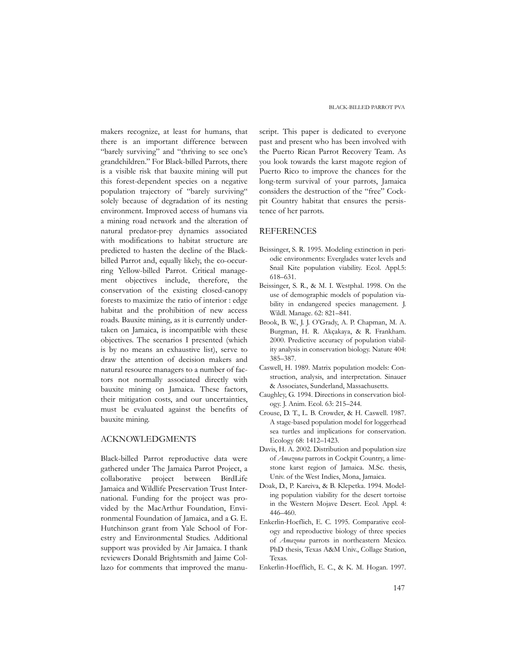makers recognize, at least for humans, that there is an important difference between "barely surviving" and "thriving to see one's grandchildren." For Black-billed Parrots, there is a visible risk that bauxite mining will put this forest-dependent species on a negative population trajectory of "barely surviving" solely because of degradation of its nesting environment. Improved access of humans via a mining road network and the alteration of natural predator-prey dynamics associated with modifications to habitat structure are predicted to hasten the decline of the Blackbilled Parrot and, equally likely, the co-occurring Yellow-billed Parrot. Critical management objectives include, therefore, the conservation of the existing closed-canopy forests to maximize the ratio of interior : edge habitat and the prohibition of new access roads. Bauxite mining, as it is currently undertaken on Jamaica, is incompatible with these objectives. The scenarios I presented (which is by no means an exhaustive list), serve to draw the attention of decision makers and natural resource managers to a number of factors not normally associated directly with bauxite mining on Jamaica. These factors, their mitigation costs, and our uncertainties, must be evaluated against the benefits of bauxite mining.

# ACKNOWLEDGMENTS

Black-billed Parrot reproductive data were gathered under The Jamaica Parrot Project, a collaborative project between BirdLife Jamaica and Wildlife Preservation Trust International. Funding for the project was provided by the MacArthur Foundation, Environmental Foundation of Jamaica, and a G. E. Hutchinson grant from Yale School of Forestry and Environmental Studies. Additional support was provided by Air Jamaica. I thank reviewers Donald Brightsmith and Jaime Collazo for comments that improved the manu-

script. This paper is dedicated to everyone past and present who has been involved with the Puerto Rican Parrot Recovery Team. As you look towards the karst magote region of Puerto Rico to improve the chances for the long-term survival of your parrots, Jamaica considers the destruction of the "free" Cockpit Country habitat that ensures the persistence of her parrots.

## REFERENCES

- Beissinger, S. R. 1995. Modeling extinction in periodic environments: Everglades water levels and Snail Kite population viability. Ecol. Appl.5: 618–631.
- Beissinger, S. R., & M. I. Westphal. 1998. On the use of demographic models of population viability in endangered species management. J. Wildl. Manage. 62: 821–841.
- Brook, B. W., J. J. O'Grady, A. P. Chapman, M. A. Burgman, H. R. Akçakaya, & R. Frankham. 2000. Predictive accuracy of population viability analysis in conservation biology. Nature 404: 385–387.
- Caswell, H. 1989. Matrix population models: Construction, analysis, and interpretation. Sinauer & Associates, Sunderland, Massachusetts.
- Caughley, G. 1994. Directions in conservation biology. J. Anim. Ecol. 63: 215–244.
- Crouse, D. T., L. B. Crowder, & H. Caswell. 1987. A stage-based population model for loggerhead sea turtles and implications for conservation. Ecology 68: 1412–1423.
- Davis, H. A. 2002. Distribution and population size of *Amazona* parrots in Cockpit Country, a limestone karst region of Jamaica. M.Sc. thesis, Univ. of the West Indies, Mona, Jamaica.
- Doak, D., P. Kareiva, & B. Klepetka. 1994. Modeling population viability for the desert tortoise in the Western Mojave Desert. Ecol. Appl. 4: 446–460.
- Enkerlin-Hoeflich, E. C. 1995. Comparative ecology and reproductive biology of three species of *Amazona* parrots in northeastern Mexico. PhD thesis, Texas A&M Univ., Collage Station, Texas.
- Enkerlin-Hoefflich, E. C., & K. M. Hogan. 1997.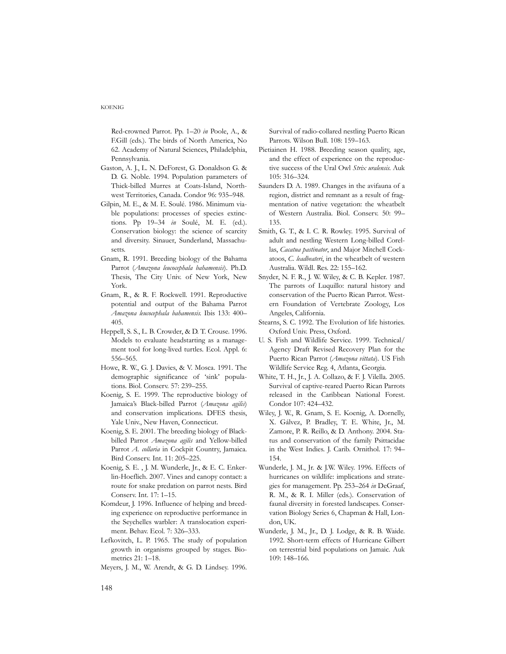Red-crowned Parrot. Pp. 1–20 *in* Poole, A., & F.Gill (eds.). The birds of North America, No 62. Academy of Natural Sciences, Philadelphia, Pennsylvania.

- Gaston, A. J., L. N. DeForest, G. Donaldson G. & D. G. Noble. 1994. Population parameters of Thick-billed Murres at Coats-Island, Northwest Territories, Canada. Condor 96: 935–948.
- Gilpin, M. E., & M. E. Soulé. 1986. Minimum viable populations: processes of species extinctions. Pp 19–34 *in* Soulé, M. E. (ed.). Conservation biology: the science of scarcity and diversity. Sinauer, Sunderland, Massachusetts.
- Gnam, R. 1991. Breeding biology of the Bahama Parrot (*Amazona leucocephala bahamensis*). Ph.D. Thesis, The City Univ. of New York, New York.
- Gnam, R., & R. F. Rockwell. 1991. Reproductive potential and output of the Bahama Parrot *Amazona leucocephala bahamensis*. Ibis 133: 400– 405.
- Heppell, S. S., L. B. Crowder, & D. T. Crouse. 1996. Models to evaluate headstarting as a management tool for long-lived turtles. Ecol. Appl. 6: 556–565.
- Howe, R. W., G. J. Davies, & V. Mosca. 1991. The demographic significance of 'sink' populations. Biol. Conserv. 57: 239–255.
- Koenig, S. E. 1999. The reproductive biology of Jamaica's Black-billed Parrot (*Amazona agilis*) and conservation implications. DFES thesis, Yale Univ., New Haven, Connecticut.
- Koenig, S. E. 2001. The breeding biology of Blackbilled Parrot *Amazona agilis* and Yellow-billed Parrot *A. collaria* in Cockpit Country, Jamaica. Bird Conserv. Int. 11: 205–225.
- Koenig, S. E. , J. M. Wunderle, Jr., & E. C. Enkerlin-Hoeflich. 2007. Vines and canopy contact: a route for snake predation on parrot nests. Bird Conserv. Int. 17: 1–15.
- Komdeur, J. 1996. Influence of helping and breeding experience on reproductive performance in the Seychelles warbler: A translocation experiment. Behav. Ecol. 7: 326–333.
- Lefkovitch, L. P. 1965. The study of population growth in organisms grouped by stages. Biometrics 21: 1–18.
- Meyers, J. M., W. Arendt, & G. D. Lindsey. 1996.

Survival of radio-collared nestling Puerto Rican Parrots. Wilson Bull. 108: 159–163.

- Pietiainen H. 1988. Breeding season quality, age, and the effect of experience on the reproductive success of the Ural Owl *Strix uralensis*. Auk 105: 316–324.
- Saunders D. A. 1989. Changes in the avifauna of a region, district and remnant as a result of fragmentation of native vegetation: the wheatbelt of Western Australia. Biol. Conserv. 50: 99– 135.
- Smith, G. T., & I. C. R. Rowley. 1995. Survival of adult and nestling Western Long-billed Corellas, *Cacatua pastinator*, and Major Mitchell Cockatoos, *C. leadbeateri*, in the wheatbelt of western Australia. Wildl. Res. 22: 155–162.
- Snyder, N. F. R., J. W. Wiley, & C. B. Kepler. 1987. The parrots of Luquillo: natural history and conservation of the Puerto Rican Parrot. Western Foundation of Vertebrate Zoology, Los Angeles, California.
- Stearns, S. C. 1992. The Evolution of life histories. Oxford Univ. Press, Oxford.
- U. S. Fish and Wildlife Service. 1999. Technical/ Agency Draft Revised Recovery Plan for the Puerto Rican Parrot (*Amazona vittata*). US Fish Wildlife Service Reg. 4, Atlanta, Georgia.
- White, T. H., Jr., J. A. Collazo, & F. J. Vilella. 2005. Survival of captive-reared Puerto Rican Parrots released in the Caribbean National Forest. Condor 107: 424–432.
- Wiley, J. W., R. Gnam, S. E. Koenig, A. Dornelly, X. Gálvez, P. Bradley, T. E. White, Jr., M. Zamore, P. R. Reillo, & D. Anthony. 2004. Status and conservation of the family Psittacidae in the West Indies. J. Carib. Ornithol. 17: 94– 154.
- Wunderle, J. M., Jr. & J.W. Wiley. 1996. Effects of hurricanes on wildlife: implications and strategies for management. Pp. 253–264 *in* DeGraaf, R. M., & R. I. Miller (eds.). Conservation of faunal diversity in forested landscapes. Conservation Biology Series 6, Chapman & Hall, London, UK.
- Wunderle, J. M., Jr., D. J. Lodge, & R. B. Waide. 1992. Short-term effects of Hurricane Gilbert on terrestrial bird populations on Jamaic. Auk 109: 148–166.